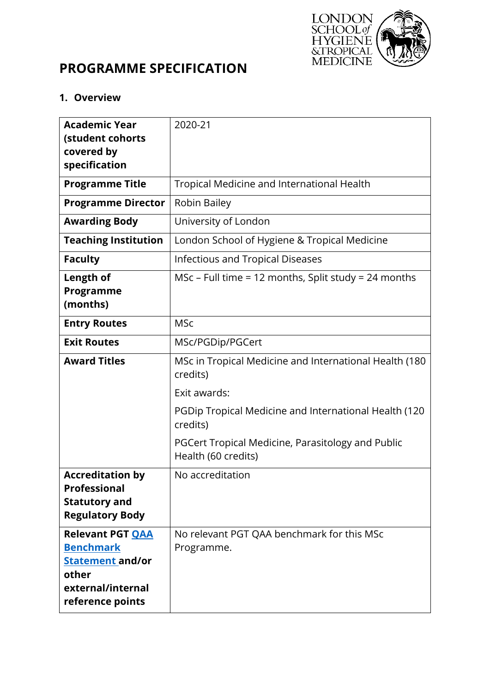

# **PROGRAMME SPECIFICATION**

### **1. Overview**

| <b>Academic Year</b><br>(student cohorts<br>covered by<br>specification                                                  | 2020-21                                                                  |
|--------------------------------------------------------------------------------------------------------------------------|--------------------------------------------------------------------------|
| <b>Programme Title</b>                                                                                                   | Tropical Medicine and International Health                               |
| <b>Programme Director</b>                                                                                                | Robin Bailey                                                             |
| <b>Awarding Body</b>                                                                                                     | University of London                                                     |
| <b>Teaching Institution</b>                                                                                              | London School of Hygiene & Tropical Medicine                             |
| <b>Faculty</b>                                                                                                           | <b>Infectious and Tropical Diseases</b>                                  |
| Length of<br>Programme<br>(months)                                                                                       | MSc – Full time = 12 months, Split study = 24 months                     |
| <b>Entry Routes</b>                                                                                                      | <b>MSc</b>                                                               |
| <b>Exit Routes</b>                                                                                                       | MSc/PGDip/PGCert                                                         |
| <b>Award Titles</b>                                                                                                      | MSc in Tropical Medicine and International Health (180)<br>credits)      |
|                                                                                                                          | Exit awards:                                                             |
|                                                                                                                          | PGDip Tropical Medicine and International Health (120<br>credits)        |
|                                                                                                                          | PGCert Tropical Medicine, Parasitology and Public<br>Health (60 credits) |
| <b>Accreditation by</b><br>Professional<br><b>Statutory and</b><br><b>Regulatory Body</b>                                | No accreditation                                                         |
| <b>Relevant PGT QAA</b><br><b>Benchmark</b><br><b>Statement and/or</b><br>other<br>external/internal<br>reference points | No relevant PGT QAA benchmark for this MSc<br>Programme.                 |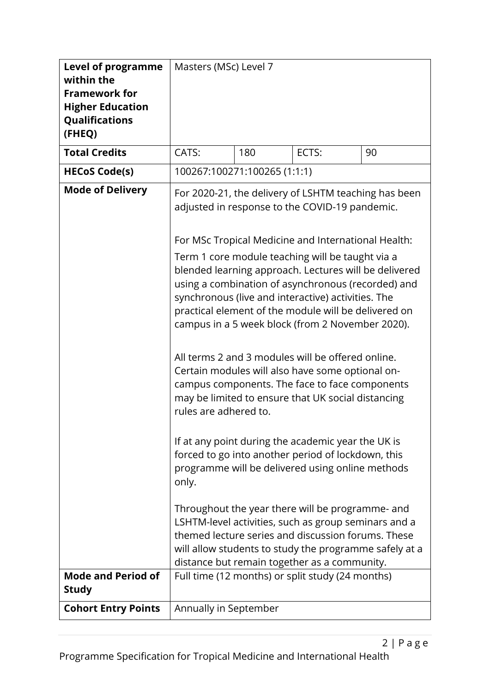| <b>Level of programme</b><br>within the<br><b>Framework for</b><br><b>Higher Education</b><br>Qualifications<br>(FHEQ) | Masters (MSc) Level 7                                                                                                                                                                                                                                                                                                                                                                                                                                                                              |     |                                                  |    |  |
|------------------------------------------------------------------------------------------------------------------------|----------------------------------------------------------------------------------------------------------------------------------------------------------------------------------------------------------------------------------------------------------------------------------------------------------------------------------------------------------------------------------------------------------------------------------------------------------------------------------------------------|-----|--------------------------------------------------|----|--|
| <b>Total Credits</b>                                                                                                   | CATS:                                                                                                                                                                                                                                                                                                                                                                                                                                                                                              | 180 | ECTS:                                            | 90 |  |
| <b>HECoS Code(s)</b>                                                                                                   | 100267:100271:100265 (1:1:1)                                                                                                                                                                                                                                                                                                                                                                                                                                                                       |     |                                                  |    |  |
| <b>Mode of Delivery</b>                                                                                                | For 2020-21, the delivery of LSHTM teaching has been<br>adjusted in response to the COVID-19 pandemic.<br>For MSc Tropical Medicine and International Health:<br>Term 1 core module teaching will be taught via a<br>blended learning approach. Lectures will be delivered<br>using a combination of asynchronous (recorded) and<br>synchronous (live and interactive) activities. The<br>practical element of the module will be delivered on<br>campus in a 5 week block (from 2 November 2020). |     |                                                  |    |  |
|                                                                                                                        | All terms 2 and 3 modules will be offered online.<br>Certain modules will also have some optional on-<br>campus components. The face to face components<br>may be limited to ensure that UK social distancing<br>rules are adhered to.                                                                                                                                                                                                                                                             |     |                                                  |    |  |
|                                                                                                                        | If at any point during the academic year the UK is<br>forced to go into another period of lockdown, this<br>programme will be delivered using online methods<br>only.                                                                                                                                                                                                                                                                                                                              |     |                                                  |    |  |
|                                                                                                                        | Throughout the year there will be programme- and<br>LSHTM-level activities, such as group seminars and a<br>themed lecture series and discussion forums. These<br>will allow students to study the programme safely at a<br>distance but remain together as a community.                                                                                                                                                                                                                           |     |                                                  |    |  |
| <b>Mode and Period of</b><br><b>Study</b>                                                                              |                                                                                                                                                                                                                                                                                                                                                                                                                                                                                                    |     | Full time (12 months) or split study (24 months) |    |  |
| <b>Cohort Entry Points</b>                                                                                             | Annually in September                                                                                                                                                                                                                                                                                                                                                                                                                                                                              |     |                                                  |    |  |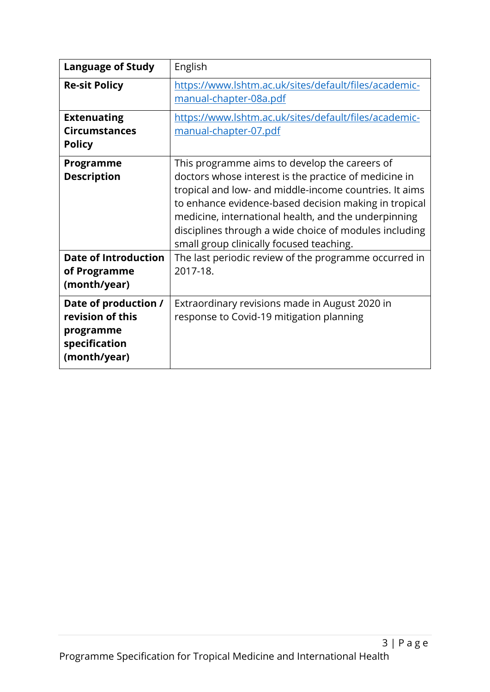| <b>Language of Study</b>                                                               | English                                                                                                                                                                                                                                                                                                                                                                                 |
|----------------------------------------------------------------------------------------|-----------------------------------------------------------------------------------------------------------------------------------------------------------------------------------------------------------------------------------------------------------------------------------------------------------------------------------------------------------------------------------------|
| <b>Re-sit Policy</b>                                                                   | https://www.lshtm.ac.uk/sites/default/files/academic-<br>manual-chapter-08a.pdf                                                                                                                                                                                                                                                                                                         |
| <b>Extenuating</b><br><b>Circumstances</b><br><b>Policy</b>                            | https://www.lshtm.ac.uk/sites/default/files/academic-<br>manual-chapter-07.pdf                                                                                                                                                                                                                                                                                                          |
| Programme<br><b>Description</b>                                                        | This programme aims to develop the careers of<br>doctors whose interest is the practice of medicine in<br>tropical and low- and middle-income countries. It aims<br>to enhance evidence-based decision making in tropical<br>medicine, international health, and the underpinning<br>disciplines through a wide choice of modules including<br>small group clinically focused teaching. |
| <b>Date of Introduction</b><br>of Programme<br>(month/year)                            | The last periodic review of the programme occurred in<br>2017-18.                                                                                                                                                                                                                                                                                                                       |
| Date of production /<br>revision of this<br>programme<br>specification<br>(month/year) | Extraordinary revisions made in August 2020 in<br>response to Covid-19 mitigation planning                                                                                                                                                                                                                                                                                              |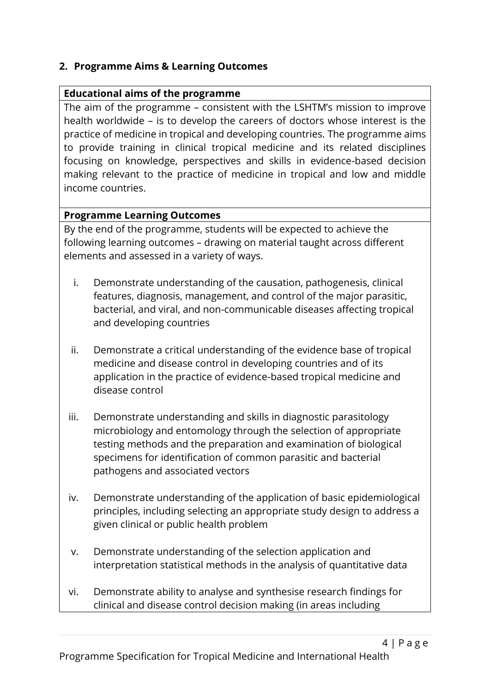#### **2. Programme Aims & Learning Outcomes**

#### **Educational aims of the programme**

The aim of the programme – consistent with the LSHTM's mission to improve health worldwide – is to develop the careers of doctors whose interest is the practice of medicine in tropical and developing countries. The programme aims to provide training in clinical tropical medicine and its related disciplines focusing on knowledge, perspectives and skills in evidence-based decision making relevant to the practice of medicine in tropical and low and middle income countries.

#### **Programme Learning Outcomes**

By the end of the programme, students will be expected to achieve the following learning outcomes – drawing on material taught across different elements and assessed in a variety of ways.

- i. Demonstrate understanding of the causation, pathogenesis, clinical features, diagnosis, management, and control of the major parasitic, bacterial, and viral, and non-communicable diseases affecting tropical and developing countries
- ii. Demonstrate a critical understanding of the evidence base of tropical medicine and disease control in developing countries and of its application in the practice of evidence-based tropical medicine and disease control
- iii. Demonstrate understanding and skills in diagnostic parasitology microbiology and entomology through the selection of appropriate testing methods and the preparation and examination of biological specimens for identification of common parasitic and bacterial pathogens and associated vectors
- iv. Demonstrate understanding of the application of basic epidemiological principles, including selecting an appropriate study design to address a given clinical or public health problem
- v. Demonstrate understanding of the selection application and interpretation statistical methods in the analysis of quantitative data
- vi. Demonstrate ability to analyse and synthesise research findings for clinical and disease control decision making (in areas including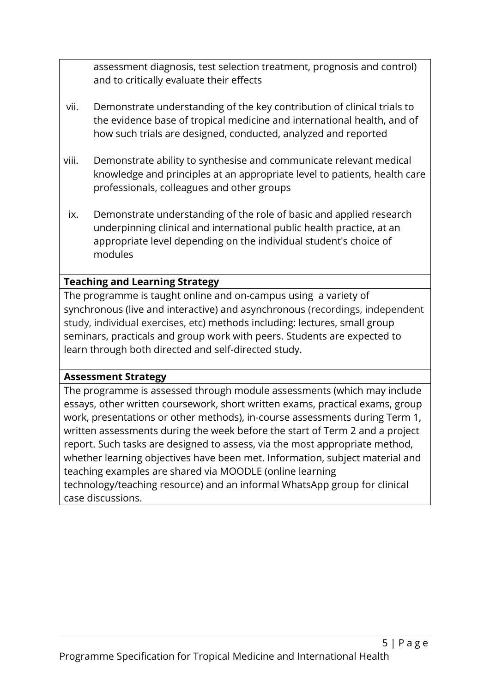assessment diagnosis, test selection treatment, prognosis and control) and to critically evaluate their effects

- vii. Demonstrate understanding of the key contribution of clinical trials to the evidence base of tropical medicine and international health, and of how such trials are designed, conducted, analyzed and reported
- viii. Demonstrate ability to synthesise and communicate relevant medical knowledge and principles at an appropriate level to patients, health care professionals, colleagues and other groups
- ix. Demonstrate understanding of the role of basic and applied research underpinning clinical and international public health practice, at an appropriate level depending on the individual student's choice of modules

## **Teaching and Learning Strategy**

The programme is taught online and on-campus using a variety of synchronous (live and interactive) and asynchronous (recordings, independent study, individual exercises, etc) methods including: lectures, small group seminars, practicals and group work with peers. Students are expected to learn through both directed and self-directed study.

#### **Assessment Strategy**

The programme is assessed through module assessments (which may include essays, other written coursework, short written exams, practical exams, group work, presentations or other methods), in-course assessments during Term 1, written assessments during the week before the start of Term 2 and a project report. Such tasks are designed to assess, via the most appropriate method, whether learning objectives have been met. Information, subject material and teaching examples are shared via MOODLE (online learning technology/teaching resource) and an informal WhatsApp group for clinical case discussions.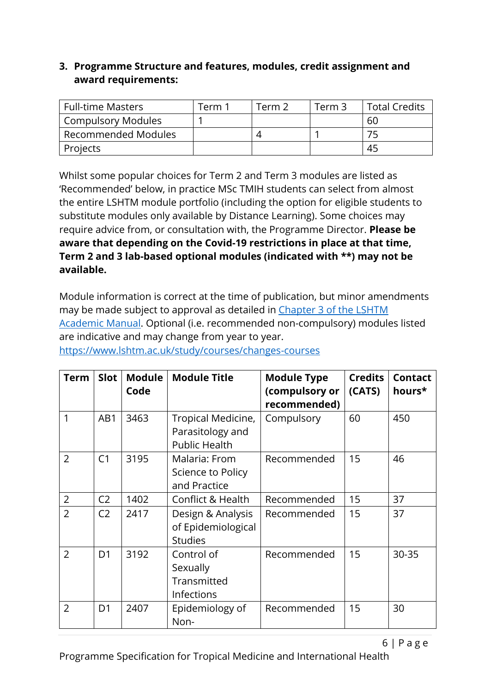### **3. Programme Structure and features, modules, credit assignment and award requirements:**

| <b>Full-time Masters</b>   | Term 1 | Term 2. | Term 3 | <b>Total Credits</b> |
|----------------------------|--------|---------|--------|----------------------|
| <b>Compulsory Modules</b>  |        |         |        | 60                   |
| <b>Recommended Modules</b> |        |         |        |                      |
| Projects                   |        |         |        | 45                   |

Whilst some popular choices for Term 2 and Term 3 modules are listed as 'Recommended' below, in practice MSc TMIH students can select from almost the entire LSHTM module portfolio (including the option for eligible students to substitute modules only available by Distance Learning). Some choices may require advice from, or consultation with, the Programme Director. **Please be aware that depending on the Covid-19 restrictions in place at that time, Term 2 and 3 lab-based optional modules (indicated with \*\*) may not be available.**

Module information is correct at the time of publication, but minor amendments may be made subject to approval as detailed in [Chapter 3 of the LSHTM](https://www.lshtm.ac.uk/sites/default/files/academic-manual-chapter-03.pdf)  [Academic Manual.](https://www.lshtm.ac.uk/sites/default/files/academic-manual-chapter-03.pdf) Optional (i.e. recommended non-compulsory) modules listed are indicative and may change from year to year.

| <b>Term</b>    | Slot           | <b>Module</b><br>Code | <b>Module Title</b>                                            | <b>Module Type</b><br>(compulsory or<br>recommended) | <b>Credits</b><br>(CATS) | <b>Contact</b><br>hours* |
|----------------|----------------|-----------------------|----------------------------------------------------------------|------------------------------------------------------|--------------------------|--------------------------|
| 1              | AB1            | 3463                  | Tropical Medicine,<br>Parasitology and<br><b>Public Health</b> | Compulsory                                           | 60                       | 450                      |
| $\overline{2}$ | C <sub>1</sub> | 3195                  | Malaria: From<br>Science to Policy<br>and Practice             | Recommended                                          | 15                       | 46                       |
| $\overline{2}$ | C <sub>2</sub> | 1402                  | Conflict & Health                                              | Recommended                                          | 15                       | 37                       |
| $\overline{2}$ | C <sub>2</sub> | 2417                  | Design & Analysis<br>of Epidemiological<br><b>Studies</b>      | Recommended                                          | 15                       | 37                       |
| $\overline{2}$ | D <sub>1</sub> | 3192                  | Control of<br>Sexually<br>Transmitted<br>Infections            | Recommended                                          | 15                       | 30-35                    |
| $\overline{2}$ | D <sub>1</sub> | 2407                  | Epidemiology of<br>Non-                                        | Recommended                                          | 15                       | 30                       |

<https://www.lshtm.ac.uk/study/courses/changes-courses>

Programme Specification for Tropical Medicine and International Health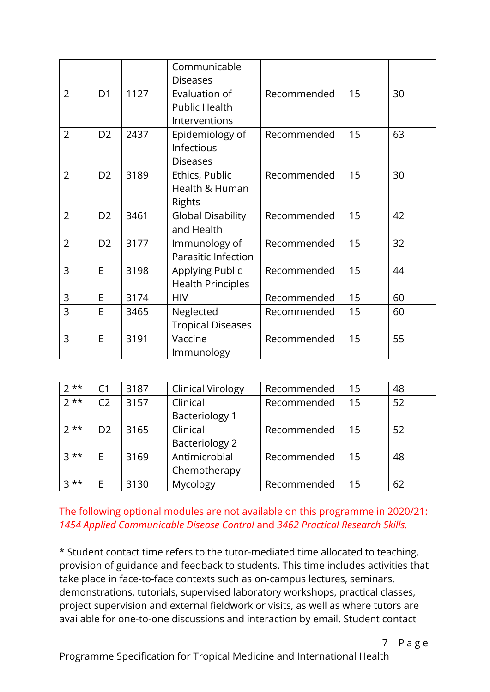|                |                |      | Communicable<br><b>Diseases</b>                        |             |    |    |
|----------------|----------------|------|--------------------------------------------------------|-------------|----|----|
| $\overline{2}$ | D <sub>1</sub> | 1127 | Evaluation of<br><b>Public Health</b><br>Interventions | Recommended | 15 | 30 |
| $\overline{2}$ | D <sub>2</sub> | 2437 | Epidemiology of<br>Infectious<br><b>Diseases</b>       | Recommended | 15 | 63 |
| $\overline{2}$ | D <sub>2</sub> | 3189 | Ethics, Public<br>Health & Human<br>Rights             | Recommended | 15 | 30 |
| $\overline{2}$ | D <sub>2</sub> | 3461 | <b>Global Disability</b><br>and Health                 | Recommended | 15 | 42 |
| $\overline{2}$ | D <sub>2</sub> | 3177 | Immunology of<br>Parasitic Infection                   | Recommended | 15 | 32 |
| $\overline{3}$ | E              | 3198 | Applying Public<br><b>Health Principles</b>            | Recommended | 15 | 44 |
| 3              | E              | 3174 | <b>HIV</b>                                             | Recommended | 15 | 60 |
| $\overline{3}$ | E              | 3465 | Neglected<br><b>Tropical Diseases</b>                  | Recommended | 15 | 60 |
| 3              | E              | 3191 | Vaccine<br>Immunology                                  | Recommended | 15 | 55 |

| $7**$ | C <sub>1</sub> | 3187 | <b>Clinical Virology</b> | Recommended | 15 | 48 |
|-------|----------------|------|--------------------------|-------------|----|----|
| $7**$ | C <sub>2</sub> | 3157 | Clinical                 | Recommended | 15 | 52 |
|       |                |      | <b>Bacteriology 1</b>    |             |    |    |
| $7**$ | D <sub>2</sub> | 3165 | Clinical                 | Recommended | 15 | 52 |
|       |                |      | <b>Bacteriology 2</b>    |             |    |    |
| $3**$ | E              | 3169 | Antimicrobial            | Recommended | 15 | 48 |
|       |                |      | Chemotherapy             |             |    |    |
| $3**$ | E              | 3130 | Mycology                 | Recommended | 15 | 62 |

### The following optional modules are not available on this programme in 2020/21: *1454 Applied Communicable Disease Control* and *3462 Practical Research Skills.*

\* Student contact time refers to the tutor-mediated time allocated to teaching, provision of guidance and feedback to students. This time includes activities that take place in face-to-face contexts such as on-campus lectures, seminars, demonstrations, tutorials, supervised laboratory workshops, practical classes, project supervision and external fieldwork or visits, as well as where tutors are available for one-to-one discussions and interaction by email. Student contact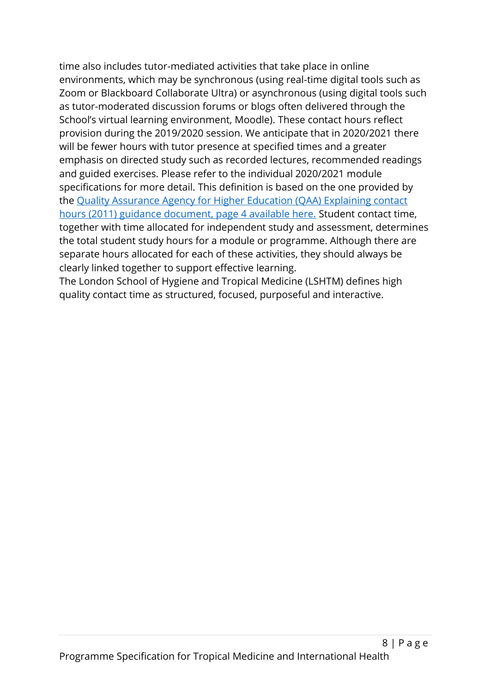time also includes tutor-mediated activities that take place in online environments, which may be synchronous (using real-time digital tools such as Zoom or Blackboard Collaborate Ultra) or asynchronous (using digital tools such as tutor-moderated discussion forums or blogs often delivered through the School's virtual learning environment, Moodle). These contact hours reflect provision during the 2019/2020 session. We anticipate that in 2020/2021 there will be fewer hours with tutor presence at specified times and a greater emphasis on directed study such as recorded lectures, recommended readings and guided exercises. Please refer to the individual 2020/2021 module specifications for more detail. This definition is based on the one provided by the [Quality Assurance Agency for Higher Education \(QAA\) Explaining contact](https://www.qaa.ac.uk/docs/qaa/quality-code/contact-hours-guidance.pdf)  [hours \(2011\) guidance document, page 4 available here.](https://www.qaa.ac.uk/docs/qaa/quality-code/contact-hours-guidance.pdf) Student contact time, together with time allocated for independent study and assessment, determines the total student study hours for a module or programme. Although there are separate hours allocated for each of these activities, they should always be clearly linked together to support effective learning.

The London School of Hygiene and Tropical Medicine (LSHTM) defines high quality contact time as structured, focused, purposeful and interactive.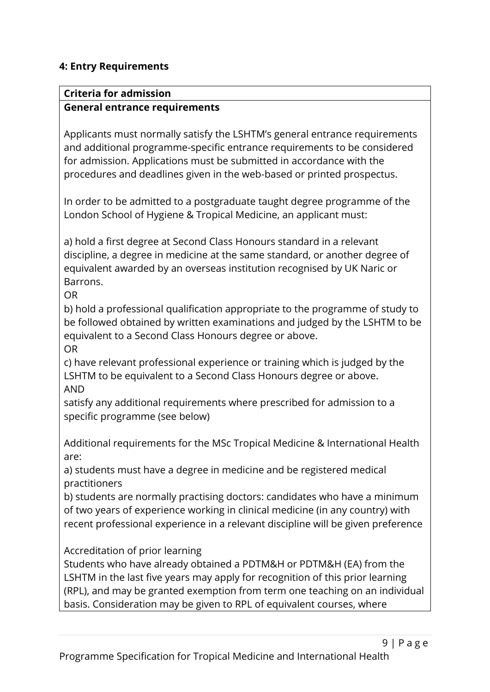### **4: Entry Requirements**

#### **Criteria for admission General entrance requirements**

Applicants must normally satisfy the LSHTM's general entrance requirements and additional programme-specific entrance requirements to be considered for admission. Applications must be submitted in accordance with the procedures and deadlines given in the web-based or printed prospectus.

In order to be admitted to a postgraduate taught degree programme of the London School of Hygiene & Tropical Medicine, an applicant must:

a) hold a first degree at Second Class Honours standard in a relevant discipline, a degree in medicine at the same standard, or another degree of equivalent awarded by an overseas institution recognised by UK Naric or **Barrons** 

OR

b) hold a professional qualification appropriate to the programme of study to be followed obtained by written examinations and judged by the LSHTM to be equivalent to a Second Class Honours degree or above. OR

c) have relevant professional experience or training which is judged by the LSHTM to be equivalent to a Second Class Honours degree or above. AND

satisfy any additional requirements where prescribed for admission to a specific programme (see below)

Additional requirements for the MSc Tropical Medicine & International Health are:

a) students must have a degree in medicine and be registered medical practitioners

b) students are normally practising doctors: candidates who have a minimum of two years of experience working in clinical medicine (in any country) with recent professional experience in a relevant discipline will be given preference

Accreditation of prior learning

Students who have already obtained a PDTM&H or PDTM&H (EA) from the LSHTM in the last five years may apply for recognition of this prior learning (RPL), and may be granted exemption from term one teaching on an individual basis. Consideration may be given to RPL of equivalent courses, where